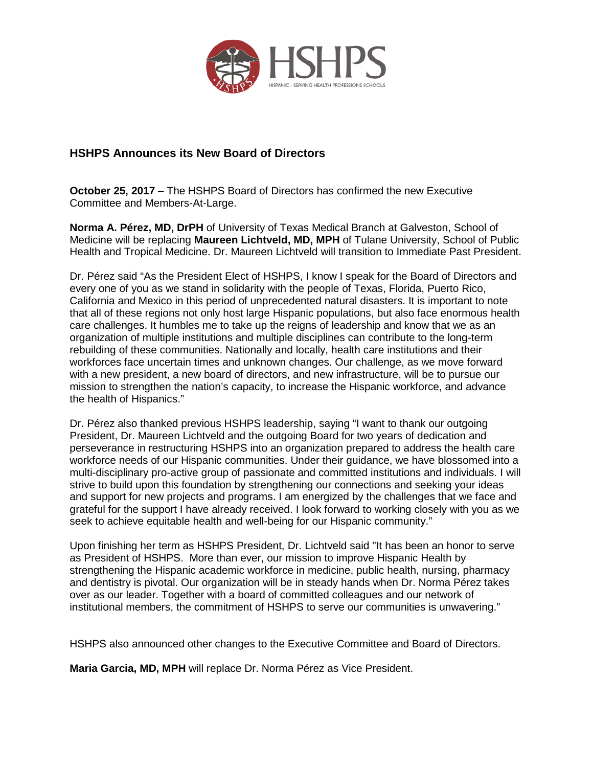

## **HSHPS Announces its New Board of Directors**

**October 25, 2017** – The HSHPS Board of Directors has confirmed the new Executive Committee and Members-At-Large.

**Norma A. Pérez, MD, DrPH** of University of Texas Medical Branch at Galveston, School of Medicine will be replacing **Maureen Lichtveld, MD, MPH** of Tulane University, School of Public Health and Tropical Medicine. Dr. Maureen Lichtveld will transition to Immediate Past President.

Dr. Pérez said "As the President Elect of HSHPS, I know I speak for the Board of Directors and every one of you as we stand in solidarity with the people of Texas, Florida, Puerto Rico, California and Mexico in this period of unprecedented natural disasters. It is important to note that all of these regions not only host large Hispanic populations, but also face enormous health care challenges. It humbles me to take up the reigns of leadership and know that we as an organization of multiple institutions and multiple disciplines can contribute to the long-term rebuilding of these communities. Nationally and locally, health care institutions and their workforces face uncertain times and unknown changes. Our challenge, as we move forward with a new president, a new board of directors, and new infrastructure, will be to pursue our mission to strengthen the nation's capacity, to increase the Hispanic workforce, and advance the health of Hispanics."

Dr. Pérez also thanked previous HSHPS leadership, saying "I want to thank our outgoing President, Dr. Maureen Lichtveld and the outgoing Board for two years of dedication and perseverance in restructuring HSHPS into an organization prepared to address the health care workforce needs of our Hispanic communities. Under their guidance, we have blossomed into a multi-disciplinary pro-active group of passionate and committed institutions and individuals. I will strive to build upon this foundation by strengthening our connections and seeking your ideas and support for new projects and programs. I am energized by the challenges that we face and grateful for the support I have already received. I look forward to working closely with you as we seek to achieve equitable health and well-being for our Hispanic community."

Upon finishing her term as HSHPS President, Dr. Lichtveld said "It has been an honor to serve as President of HSHPS. More than ever, our mission to improve Hispanic Health by strengthening the Hispanic academic workforce in medicine, public health, nursing, pharmacy and dentistry is pivotal. Our organization will be in steady hands when Dr. Norma Pérez takes over as our leader. Together with a board of committed colleagues and our network of institutional members, the commitment of HSHPS to serve our communities is unwavering."

HSHPS also announced other changes to the Executive Committee and Board of Directors.

**Maria Garcia, MD, MPH** will replace Dr. Norma Pérez as Vice President.